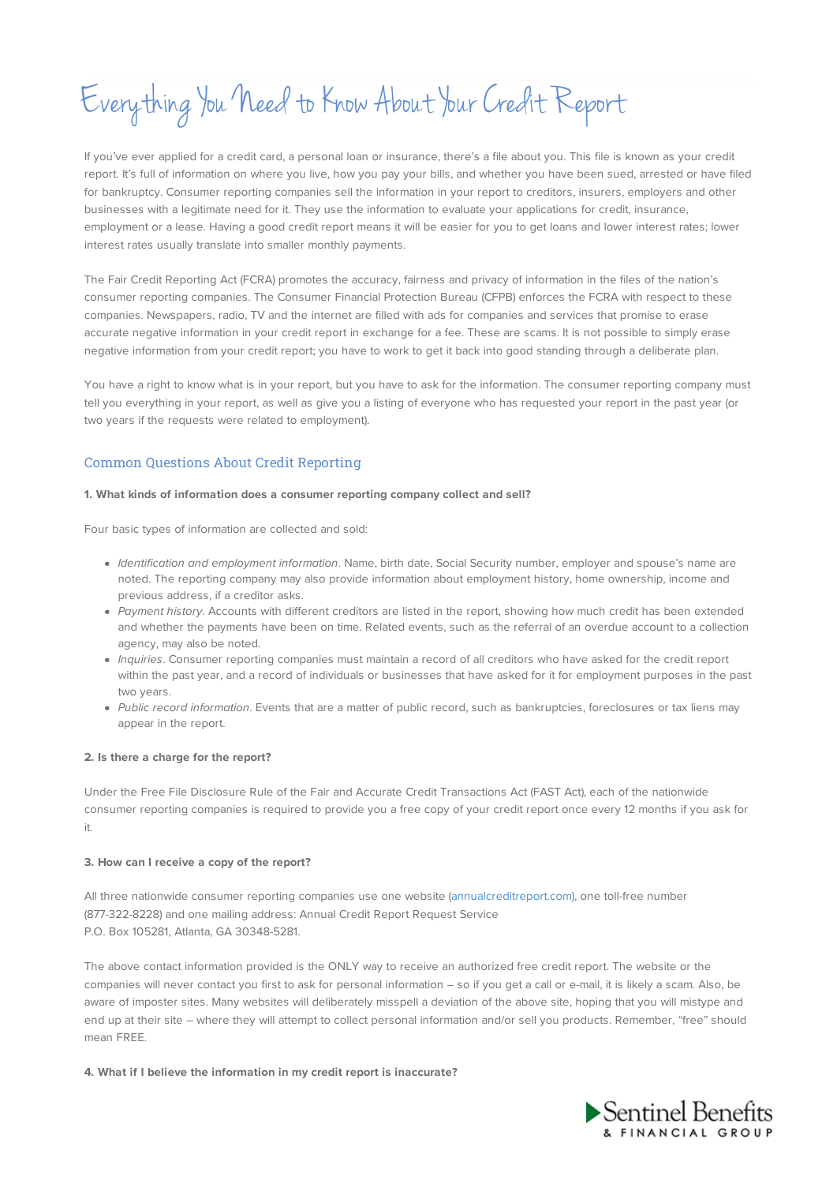Everything You Need to Know About YourCredit Report

If you've ever applied for a credit card, a personal loan or insurance, there's a file about you. This file is known as your credit report. It's full of information on where you live, how you pay your bills, and whether you have been sued, arrested or have filed for bankruptcy. Consumer reporting companies sell the information in your report to creditors, insurers, employers and other businesses with a legitimate need for it. They use the information to evaluate your applications for credit, insurance, employment or a lease. Having a good credit report means it will be easier for you to get loans and lower interest rates; lower interest rates usually translate into smaller monthly payments.

The Fair Credit Reporting Act (FCRA) promotes the accuracy, fairness and privacy of information in the files of the nation's consumer reporting companies. The Consumer Financial Protection Bureau (CFPB) enforces the FCRA with respect to these companies. Newspapers, radio, TV and the internet are filled with ads for companies and services that promise to erase accurate negative information in your credit report in exchange for a fee. These are scams. It is not possible to simply erase negative information from your credit report; you have to work to get it back into good standing through a deliberate plan.

You have a right to know what is in your report, but you have to ask for the information. The consumer reporting company must tell you everything in your report, as well as give you a listing of everyone who has requested your report in the past year (or two years if the requests were related to employment).

# Common Questions About Credit Reporting

#### **1. What kinds of information does a consumer reporting company collect and sell?**

Four basic types of information are collected and sold:

- Identification and employment information. Name, birth date, Social Security number, employer and spouse's name are noted. The reporting company may also provide information about employment history, home ownership, income and previous address, if a creditor asks.
- Payment history. Accounts with different creditors are listed in the report, showing how much credit has been extended and whether the payments have been on time. Related events, such as the referral of an overdue account to a collection agency, may also be noted.
- Inquiries. Consumer reporting companies must maintain a record of all creditors who have asked for the credit report within the past year, and a record of individuals or businesses that have asked for it for employment purposes in the past two years.
- Public record information. Events that are a matter of public record, such as bankruptcies, foreclosures or tax liens may appear in the report.

### **2. Is there a charge for the report?**

Under the Free File Disclosure Rule of the Fair and Accurate Credit Transactions Act (FAST Act), each of the nationwide consumer reporting companies is required to provide you a free copy of your credit report once every 12 months if you ask for it.

### **3. How can I receive a copy of the report?**

All three nationwide consumer reporting companies use one website (annualcreditreport.com), one toll-free number (877-322-8228) and one mailing address: Annual Credit Report Request Service P.O. Box 105281, Atlanta, GA 30348-5281.

The above contact information provided is the ONLY way to receive an authorized free credit report. The website or the companies will never contact you first to ask for personal information – so if you get a call or e-mail, it is likely a scam. Also, be aware of imposter sites. Many websites will deliberately misspell a deviation of the above site, hoping that you will mistype and end up at their site – where they will attempt to collect personal information and/or sell you products. Remember, "free" should mean FREE.

**4. What if I believe the information in my credit report is inaccurate?**

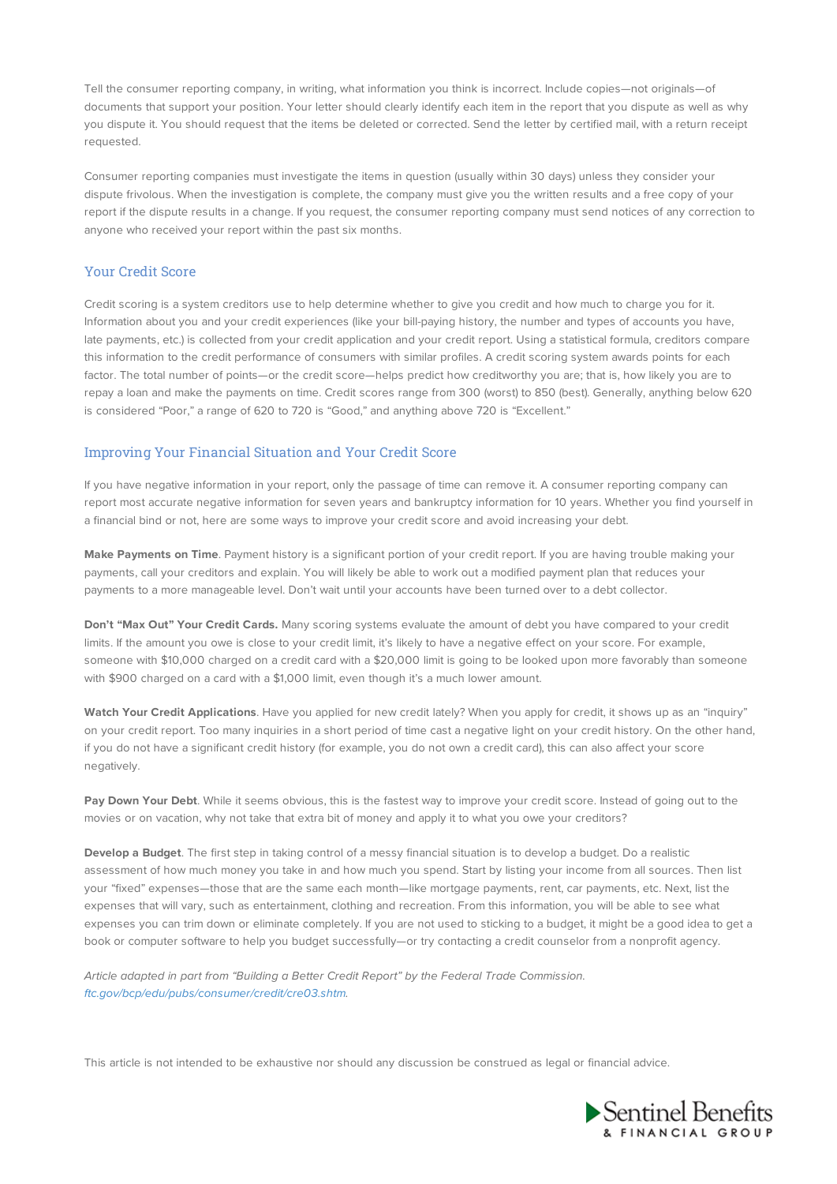Tell the consumer reporting company, in writing, what information you think is incorrect. Include copies—not originals—of documents that support your position. Your letter should clearly identify each item in the report that you dispute as well as why you dispute it. You should request that the items be deleted or corrected. Send the letter by certified mail, with a return receipt requested.

Consumer reporting companies must investigate the items in question (usually within 30 days) unless they consider your dispute frivolous. When the investigation is complete, the company must give you the written results and a free copy of your report if the dispute results in a change. If you request, the consumer reporting company must send notices of any correction to anyone who received your report within the past six months.

### Your Credit Score

Credit scoring is a system creditors use to help determine whether to give you credit and how much to charge you for it. Information about you and your credit experiences (like your bill-paying history, the number and types of accounts you have, late payments, etc.) is collected from your credit application and your credit report. Using a statistical formula, creditors compare this information to the credit performance of consumers with similar profiles. A credit scoring system awards points for each factor. The total number of points—or the credit score—helps predict how creditworthy you are; that is, how likely you are to repay a loan and make the payments on time. Credit scores range from 300 (worst) to 850 (best). Generally, anything below 620 is considered "Poor," a range of 620 to 720 is "Good," and anything above 720 is "Excellent."

# Improving Your Financial Situation and Your Credit Score

If you have negative information in your report, only the passage of time can remove it. A consumer reporting company can report most accurate negative information for seven years and bankruptcy information for 10 years. Whether you find yourself in a financial bind or not, here are some ways to improve your credit score and avoid increasing your debt.

**Make Payments on Time**. Payment history is a significant portion of your credit report. If you are having trouble making your payments, call your creditors and explain. You will likely be able to work out a modified payment plan that reduces your payments to a more manageable level. Don't wait until your accounts have been turned over to a debt collector.

**Don't "Max Out" Your Credit Cards.** Many scoring systems evaluate the amount of debt you have compared to your credit limits. If the amount you owe is close to your credit limit, it's likely to have a negative effect on your score. For example, someone with \$10,000 charged on a credit card with a \$20,000 limit is going to be looked upon more favorably than someone with \$900 charged on a card with a \$1,000 limit, even though it's a much lower amount.

**Watch Your Credit Applications**. Have you applied for new credit lately? When you apply for credit, it shows up as an "inquiry" on your credit report. Too many inquiries in a short period of time cast a negative light on your credit history. On the other hand, if you do not have a significant credit history (for example, you do not own a credit card), this can also affect your score negatively.

**Pay Down Your Debt**. While it seems obvious, this is the fastest way to improve your credit score. Instead of going out to the movies or on vacation, why not take that extra bit of money and apply it to what you owe your creditors?

**Develop a Budget**. The first step in taking control of a messy financial situation is to develop a budget. Do a realistic assessment of how much money you take in and how much you spend. Start by listing your income from all sources. Then list your "fixed" expenses—those that are the same each month—like mortgage payments, rent, car payments, etc. Next, list the expenses that will vary, such as entertainment, clothing and recreation. From this information, you will be able to see what expenses you can trim down or eliminate completely. If you are not used to sticking to a budget, it might be a good idea to get a book or computer software to help you budget successfully—or try contacting a credit counselor from a nonprofit agency.

Article adapted in part from "Building a Better Credit Report" by the Federal Trade Commission. ftc.gov/bcp/edu/pubs/consumer/credit/cre03.shtm.

This article is not intended to be exhaustive nor should any discussion be construed as legal or financial advice.